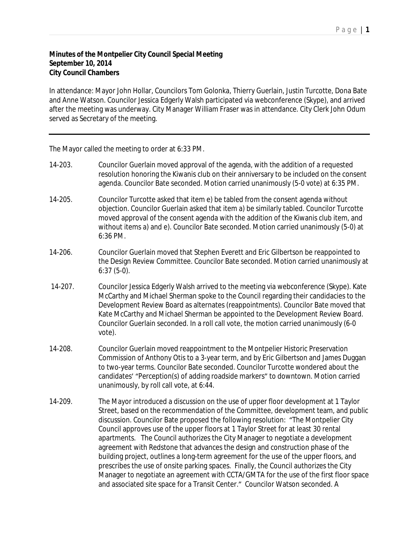## **Minutes of the Montpelier City Council Special Meeting September 10, 2014 City Council Chambers**

In attendance: Mayor John Hollar, Councilors Tom Golonka, Thierry Guerlain, Justin Turcotte, Dona Bate and Anne Watson. Councilor Jessica Edgerly Walsh participated via webconference (Skype), and arrived after the meeting was underway. City Manager William Fraser was in attendance. City Clerk John Odum served as Secretary of the meeting.

The Mayor called the meeting to order at 6:33 PM.

- 14-203. Councilor Guerlain moved approval of the agenda, with the addition of a requested resolution honoring the Kiwanis club on their anniversary to be included on the consent agenda. Councilor Bate seconded. Motion carried unanimously (5-0 vote) at 6:35 PM.
- 14-205. Councilor Turcotte asked that item e) be tabled from the consent agenda without objection. Councilor Guerlain asked that item a) be similarly tabled. Councilor Turcotte moved approval of the consent agenda with the addition of the Kiwanis club item, and without items a) and e). Councilor Bate seconded. Motion carried unanimously (5-0) at 6:36 PM.
- 14-206. Councilor Guerlain moved that Stephen Everett and Eric Gilbertson be reappointed to the Design Review Committee. Councilor Bate seconded. Motion carried unanimously at 6:37 (5-0).
- 14-207. Councilor Jessica Edgerly Walsh arrived to the meeting via webconference (Skype). Kate McCarthy and Michael Sherman spoke to the Council regarding their candidacies to the Development Review Board as alternates (reappointments). Councilor Bate moved that Kate McCarthy and Michael Sherman be appointed to the Development Review Board. Councilor Guerlain seconded. In a roll call vote, the motion carried unanimously (6-0 vote).
- 14-208. Councilor Guerlain moved reappointment to the Montpelier Historic Preservation Commission of Anthony Otis to a 3-year term, and by Eric Gilbertson and James Duggan to two-year terms. Councilor Bate seconded. Councilor Turcotte wondered about the candidates' "Perception(s) of adding roadside markers" to downtown. Motion carried unanimously, by roll call vote, at 6:44.
- 14-209. The Mayor introduced a discussion on the use of upper floor development at 1 Taylor Street, based on the recommendation of the Committee, development team, and public discussion. Councilor Bate proposed the following resolution: "The Montpelier City Council approves use of the upper floors at 1 Taylor Street for at least 30 rental apartments. The Council authorizes the City Manager to negotiate a development agreement with Redstone that advances the design and construction phase of the building project, outlines a long-term agreement for the use of the upper floors, and prescribes the use of onsite parking spaces. Finally, the Council authorizes the City Manager to negotiate an agreement with CCTA/GMTA for the use of the first floor space and associated site space for a Transit Center." Councilor Watson seconded. A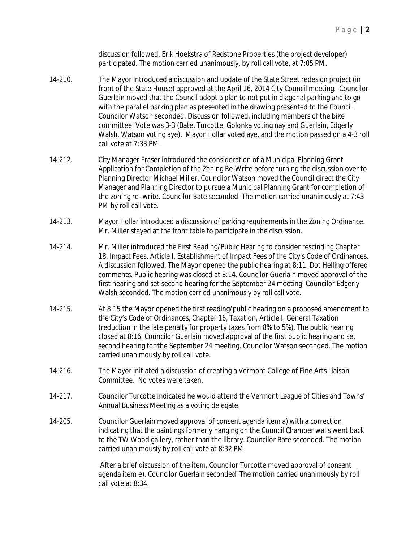discussion followed. Erik Hoekstra of Redstone Properties (the project developer) participated. The motion carried unanimously, by roll call vote, at 7:05 PM.

- 14-210. The Mayor introduced a discussion and update of the State Street redesign project (in front of the State House) approved at the April 16, 2014 City Council meeting. Councilor Guerlain moved that the Council adopt a plan to not put in diagonal parking and to go with the parallel parking plan as presented in the drawing presented to the Council. Councilor Watson seconded. Discussion followed, including members of the bike committee. Vote was 3-3 (Bate, Turcotte, Golonka voting nay and Guerlain, Edgerly Walsh, Watson voting aye). Mayor Hollar voted aye, and the motion passed on a 4-3 roll call vote at 7:33 PM.
- 14-212. City Manager Fraser introduced the consideration of a Municipal Planning Grant Application for Completion of the Zoning Re-Write before turning the discussion over to Planning Director Michael Miller. Councilor Watson moved the Council direct the City Manager and Planning Director to pursue a Municipal Planning Grant for completion of the zoning re- write. Councilor Bate seconded. The motion carried unanimously at 7:43 PM by roll call vote.
- 14-213. Mayor Hollar introduced a discussion of parking requirements in the Zoning Ordinance. Mr. Miller stayed at the front table to participate in the discussion.
- 14-214. Mr. Miller introduced the First Reading/Public Hearing to consider rescinding Chapter 18, Impact Fees, Article I. Establishment of Impact Fees of the City's Code of Ordinances. A discussion followed. The Mayor opened the public hearing at 8:11. Dot Helling offered comments. Public hearing was closed at 8:14. Councilor Guerlain moved approval of the first hearing and set second hearing for the September 24 meeting. Councilor Edgerly Walsh seconded. The motion carried unanimously by roll call vote.
- 14-215. At 8:15 the Mayor opened the first reading/public hearing on a proposed amendment to the City's Code of Ordinances, Chapter 16, Taxation, Article I, General Taxation (reduction in the late penalty for property taxes from 8% to 5%). The public hearing closed at 8:16. Councilor Guerlain moved approval of the first public hearing and set second hearing for the September 24 meeting. Councilor Watson seconded. The motion carried unanimously by roll call vote.
- 14-216. The Mayor initiated a discussion of creating a Vermont College of Fine Arts Liaison Committee. No votes were taken.
- 14-217. Councilor Turcotte indicated he would attend the Vermont League of Cities and Towns' Annual Business Meeting as a voting delegate.
- 14-205. Councilor Guerlain moved approval of consent agenda item a) with a correction indicating that the paintings formerly hanging on the Council Chamber walls went back to the TW Wood gallery, rather than the library. Councilor Bate seconded. The motion carried unanimously by roll call vote at 8:32 PM.

After a brief discussion of the item, Councilor Turcotte moved approval of consent agenda item e). Councilor Guerlain seconded. The motion carried unanimously by roll call vote at 8:34.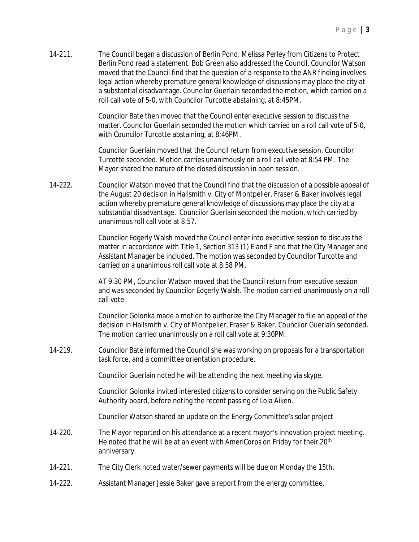14-211. The Council began a discussion of Berlin Pond. Melissa Perley from Citizens to Protect Berlin Pond read a statement. Bob Green also addressed the Council. Councilor Watson moved that the Council find that the question of a response to the ANR finding involves legal action whereby premature general knowledge of discussions may place the city at a substantial disadvantage. Councilor Guerlain seconded the motion, which carried on a roll call vote of 5-0, with Councilor Turcotte abstaining, at 8:45PM.

> Councilor Bate then moved that the Council enter executive session to discuss the matter. Councilor Guerlain seconded the motion which carried on a roll call vote of 5-0, with Councilor Turcotte abstaining, at 8:46PM.

Councilor Guerlain moved that the Council return from executive session. Councilor Turcotte seconded. Motion carries unanimously on a roll call vote at 8:54 PM. The Mayor shared the nature of the closed discussion in open session.

14-222. Councilor Watson moved that the Council find that the discussion of a possible appeal of the August 20 decision in Hallsmith v. City of Montpelier, Fraser & Baker involves legal action whereby premature general knowledge of discussions may place the city at a substantial disadvantage. Councilor Guerlain seconded the motion, which carried by unanimous roll call vote at 8:57.

> Councilor Edgerly Walsh moved the Council enter into executive session to discuss the matter in accordance with Title 1, Section 313 (1) E and F and that the City Manager and Assistant Manager be included. The motion was seconded by Councilor Turcotte and carried on a unanimous roll call vote at 8:58 PM.

> AT 9:30 PM, Councilor Watson moved that the Council return from executive session and was seconded by Councilor Edgerly Walsh. The motion carried unanimously on a roll call vote.

> Councilor Golonka made a motion to authorize the City Manager to file an appeal of the decision in Hallsmith v. City of Montpelier, Fraser & Baker. Councilor Guerlain seconded. The motion carried unanimously on a roll call vote at 9:30PM.

14-219. Councilor Bate informed the Council she was working on proposals for a transportation task force, and a committee orientation procedure.

Councilor Guerlain noted he will be attending the next meeting via skype.

Councilor Golonka invited interested citizens to consider serving on the Public Safety Authority board, before noting the recent passing of Lola Aiken.

Councilor Watson shared an update on the Energy Committee's solar project

- 14-220. The Mayor reported on his attendance at a recent mayor's innovation project meeting. He noted that he will be at an event with AmeriCorps on Friday for their 20<sup>th</sup> anniversary.
- 14-221. The City Clerk noted water/sewer payments will be due on Monday the 15th.
- 14-222. Assistant Manager Jessie Baker gave a report from the energy committee.